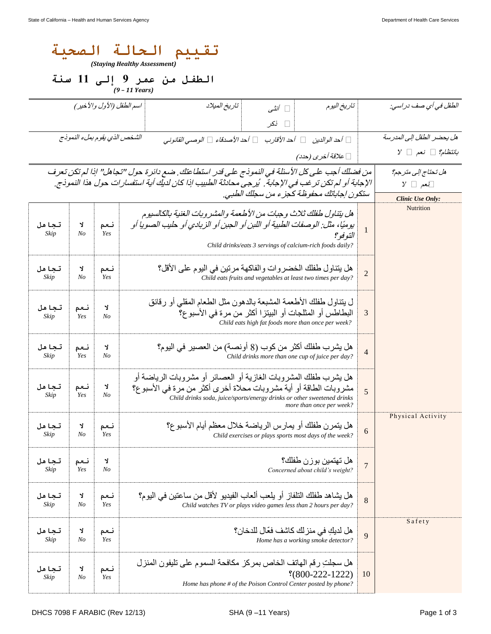| الحالة<br>الصحنه<br>تقىيم<br>(Staying Healthy Assessment) |                              |                                                                                                                                                                                                                                                     |                                                                                                                                                                                                                                              |                           |                              |  |  |
|-----------------------------------------------------------|------------------------------|-----------------------------------------------------------------------------------------------------------------------------------------------------------------------------------------------------------------------------------------------------|----------------------------------------------------------------------------------------------------------------------------------------------------------------------------------------------------------------------------------------------|---------------------------|------------------------------|--|--|
| الطفل من عمر 9 إلى 11 سنة<br>$(9 - 11$ Years)             |                              |                                                                                                                                                                                                                                                     |                                                                                                                                                                                                                                              |                           |                              |  |  |
|                                                           |                              | اسم الطفل (الأول والأخير)                                                                                                                                                                                                                           | تاريخ الميلاد<br>□ أنثبي<br>⊟ نکر                                                                                                                                                                                                            | تاريخ اليوم               | الطفل في أي صف در اسي:       |  |  |
|                                                           | الشخص الذي يقوم بملء النموذج | □ أحد الوالدين                                                                                                                                                                                                                                      | هل يحضر الطفل إلى المدرسة                                                                                                                                                                                                                    |                           |                              |  |  |
|                                                           |                              |                                                                                                                                                                                                                                                     | □ علاقة أخرى (حدد)                                                                                                                                                                                                                           |                           | $Y \Box$ بانتظام؟ $\Box$ نعم |  |  |
|                                                           |                              | من فضلك أجب على كل الأسئلة في النموذج على قدر استطاعتك ِ ضع دائرة حول "تجاهل" إذا لم تكن تعرف<br>الإجابة أو لم تكن تر غب في الإجابة .  يُرجى محادثة الطبيب إذا كان لديك أية استفسار ات حول هذا النموذج.<br>ستكون إجاباتك محفوظة كجزء من سجلك الطبي. | هل تحتاج إلى مترجم؟<br>$Y \Box$ بعم $\Box$<br><b>Clinic Use Only:</b>                                                                                                                                                                        |                           |                              |  |  |
| تجاهل<br>Skip                                             | Y<br>N <sub>O</sub>          | نعم<br>Yes                                                                                                                                                                                                                                          | هل بتناول طفلك ثلاث وجبات من الأطعمة والمشر وبات الغنية بالكالسيوم<br>يوميًا، مثل: الوصفات الطبية أو اللبن أو الجبن أو الزبادي أو حليب الصويا أو<br>Child drinks/eats 3 servings of calcium-rich foods daily?                                | $\overline{1}$<br>التوفو؟ | Nutrition                    |  |  |
| تجاهل<br>Skip                                             | Ą<br>N <sub>O</sub>          | نعم<br>Yes                                                                                                                                                                                                                                          | هل يتناول طفلك الخضروات والفاكهة مرتين في اليوم على الأقل؟<br>Child eats fruits and vegetables at least two times per day?                                                                                                                   | $\overline{2}$            |                              |  |  |
| تجاهل<br>Skip                                             | نعم<br>Yes                   | Y<br>$N_{O}$                                                                                                                                                                                                                                        | ل يتناول طفلك الأطعمة المشبعة بالدهون مثل الطعام المقلى أو رقائق<br>البطاطس أو المثلجات أو البيتزا أكثر من مرة في الأسبو ع؟<br>Child eats high fat foods more than once per week?                                                            | 3                         |                              |  |  |
| تجاهل<br>Skip                                             | نعم<br>Yes                   | Y<br>$N_{O}$                                                                                                                                                                                                                                        | هل يشرب طفلك أكثر من كوب (8 أونصـة) من العصبير في اليوم؟<br>Child drinks more than one cup of juice per day?                                                                                                                                 | $\overline{4}$            |                              |  |  |
| تجاهل<br>Skip                                             | نعم<br>Yes                   | Y<br>No                                                                                                                                                                                                                                             | هل بِشرب طفلك المشروبات الغازية أو العصائر أو مشروبات الرياضة أو<br>مشروبات الطاقة أو أية مشروبات محلاة أخرى أكثر من مرة في الأسبو ع؟<br>Child drinks soda, juice/sports/energy drinks or other sweetened drinks<br>more than once per week? | 5                         |                              |  |  |
| تجاهل<br>Skip                                             | Y<br>N <sub>O</sub>          | نعم<br>Yes                                                                                                                                                                                                                                          | هل يتمر ن طفلك أو يمارس الرياضة خلال معظم أيام الأسبو ع؟<br>Child exercises or plays sports most days of the week?                                                                                                                           | 6                         | Physical Activity            |  |  |
| تجاهل<br>Skip                                             | نعم<br>Yes                   | Y<br>N <sub>o</sub>                                                                                                                                                                                                                                 | هل تهتمين بو ز ن طفلك؟<br>Concerned about child's weight?                                                                                                                                                                                    | $\overline{7}$            |                              |  |  |
| تجاهل<br>Skip                                             | Y<br>N <sub>O</sub>          | نعم<br>Yes                                                                                                                                                                                                                                          | هل يشاهد طفلك التلفاز أو يلعب ألعاب الفيديو لأقل من ساعتين في اليوم؟<br>Child watches TV or plays video games less than 2 hours per day?                                                                                                     | 8                         |                              |  |  |
| تجاهل<br>Skip                                             | Y<br>N <sub>O</sub>          | نعم<br>Yes                                                                                                                                                                                                                                          | هل لديكِ في منز لك كاشف فعّال للدخان؟<br>Home has a working smoke detector?                                                                                                                                                                  | 9                         | Safety                       |  |  |
| تجاهل<br>Skip                                             | Y<br>N <sub>O</sub>          | نعم<br>Yes                                                                                                                                                                                                                                          | هل سجلتِ رقم الهاتف الخاص بمركز مكافحة السموم على تليفون المنزل<br>$*(800-222-1222)$<br>Home has phone # of the Poison Control Center posted by phone?                                                                                       | 10                        |                              |  |  |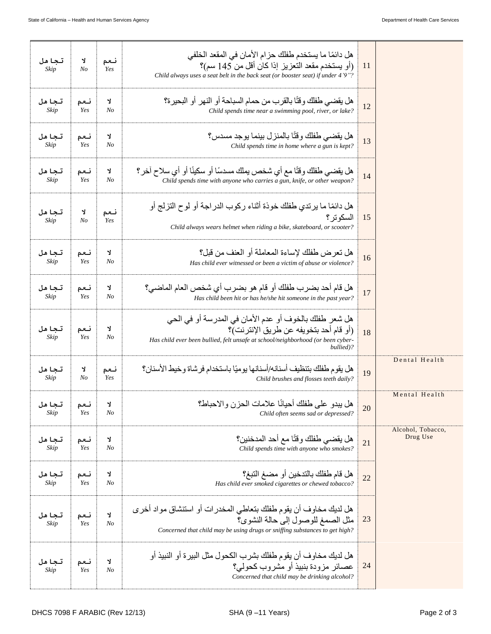| تجاهل<br>Skip | Y<br>N <sub>o</sub> | نعم<br>Yes           | هل دائمًا ما يستخدم طفلك حز ام الأمان في المقعد الخلفي<br>(أو يستخدم مقعد التعزيز إذا كان أقل من 145 سم)؟<br>Child always uses a seat belt in the back seat (or booster seat) if under 4'9"?     | 11 |                               |
|---------------|---------------------|----------------------|--------------------------------------------------------------------------------------------------------------------------------------------------------------------------------------------------|----|-------------------------------|
| تجاهل<br>Skip | نعم<br>Yes          | Y<br>$N_{O}$         | هل يقضي طفلك وقتًا بالقرب من حمام السباحة أو النهر أو البحير ة؟<br>Child spends time near a swimming pool, river, or lake?                                                                       | 12 |                               |
| تجاهل<br>Skip | نعم<br>Yes          | Y<br>$N_{O}$         | هل يقضـي طفلك و قتًا بـالمنز ل بينمـا يو جد مسدس؟<br>Child spends time in home where a gun is kept?                                                                                              | 13 |                               |
| تجاهل<br>Skip | نعم<br>Yes          | Y<br>No              | هل يقضـي طفلك وقتًا مع أي شخص يملك مسدسًا أو سكينًا أو أي سلاح آخر ؟<br>Child spends time with anyone who carries a gun, knife, or other weapon?                                                 | 14 |                               |
| تجاهل<br>Skip | Y<br>No             | نعم<br>Yes           | هل دائمًا ما يرندي طفلك خوذة أثناء ركوب الدراجة أو لوح النزلج أو<br>السكو تر ؟<br>Child always wears helmet when riding a bike, skateboard, or scooter?                                          | 15 |                               |
| تجاهل<br>Skip | نعم<br>Yes          | J.<br>No             | هل تعر ض طفلك لإساءة المعاملة أو العنف من قبل؟<br>Has child ever witnessed or been a victim of abuse or violence?                                                                                | 16 |                               |
| تجاهل<br>Skip | نعم<br>Yes          | Y<br>$N_{O}$         | هل قام أحد بضرب طفلك أو قام هو بضرب أي شخص العام الماضي؟<br>Has child been hit or has he/she hit someone in the past year?                                                                       | 17 |                               |
| تجاهل<br>Skip | نعم<br>Yes          | J.<br>N <sub>O</sub> | هل شعر طفلك بالخوف أو عدم الأمان في المدرسة أو في الحي<br>(أو قام أحد بتخويفه عن طريق الإنترنت)؟<br>Has child ever been bullied, felt unsafe at school/neighborhood (or been cyber-<br>bullied)? | 18 |                               |
| تجاهل<br>Skip | Y<br>N <sub>O</sub> | نعم<br>Yes           | هل يقوم طفلك بتنظيف أسنانه/أسنانها يوميًا باستخدام فرشاة وخيط الأسنان؟<br>Child brushes and flosses teeth daily?                                                                                 | 19 | Dental Health                 |
| تجاهل<br>Skip | نعم<br>Yes          | ٦<br>No              | هل يبدو على طفلك أحيانًا علامات الحزن والاحباط؟<br>Child often seems sad or depressed?                                                                                                           | 20 | Mental Health                 |
| تجاهل<br>Skip | نعم<br>Yes          | Y<br>$N_{O}$         | هل يقضبي طفلك وقتًا مع أحد المدخنين؟<br>Child spends time with anyone who smokes?                                                                                                                | 21 | Alcohol, Tobacco,<br>Drug Use |
| تجاهل<br>Skip | نعم<br>Yes          | Y<br>No              | هل قام طفلك بالتدخين أو مضغ التبغ؟<br>Has child ever smoked cigarettes or chewed tobacco?                                                                                                        | 22 |                               |
| تجاهل<br>Skip | نعم<br>Yes          | Y<br>No              | هل لديك مخاوف أن يقوم طفلك بتعاطي المخدر ات أو استنشاق مواد أخر ي<br>مثّل الصمغ للوصول إلى حالة النشوي؟<br>Concerned that child may be using drugs or sniffing substances to get high?           | 23 |                               |
| تجاهل<br>Skip | نعم<br>Yes          | ٦J<br>No             | هل لديك مخاوف أن يقوم طفلك بشرب الكحول مثل البيرة أو النبيذ أو<br>عصائر مزودة بنبيذ أو مشروب كحولي؟<br>Concerned that child may be drinking alcohol?                                             | 24 |                               |